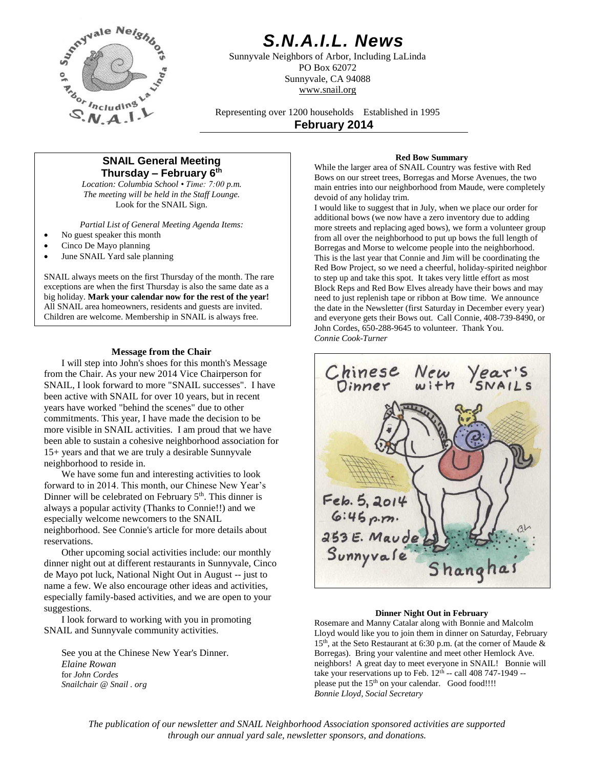

# *S.N.A.I.L. News*

Sunnyvale Neighbors of Arbor, Including LaLinda PO Box 62072 Sunnyvale, CA 94088 www.snail.org

Representing over 1200 households Established in 1995 **February 2014**

## **SNAIL General Meeting Thursday – February 6 th**

*Location: Columbia School • Time: 7:00 p.m. The meeting will be held in the Staff Lounge.* Look for the SNAIL Sign.

*Partial List of General Meeting Agenda Items:*

- No guest speaker this month
- Cinco De Mayo planning
- June SNAIL Yard sale planning

SNAIL always meets on the first Thursday of the month. The rare exceptions are when the first Thursday is also the same date as a big holiday. **Mark your calendar now for the rest of the year!** All SNAIL area homeowners, residents and guests are invited. Children are welcome. Membership in SNAIL is always free.

## **Message from the Chair**

I will step into John's shoes for this month's Message from the Chair. As your new 2014 Vice Chairperson for SNAIL, I look forward to more "SNAIL successes". I have been active with SNAIL for over 10 years, but in recent years have worked "behind the scenes" due to other commitments. This year, I have made the decision to be more visible in SNAIL activities. I am proud that we have been able to sustain a cohesive neighborhood association for 15+ years and that we are truly a desirable Sunnyvale neighborhood to reside in.

We have some fun and interesting activities to look forward to in 2014. This month, our Chinese New Year's Dinner will be celebrated on February  $5<sup>th</sup>$ . This dinner is always a popular activity (Thanks to Connie!!) and we especially welcome newcomers to the SNAIL neighborhood. See Connie's article for more details about reservations.

Other upcoming social activities include: our monthly dinner night out at different restaurants in Sunnyvale, Cinco de Mayo pot luck, National Night Out in August -- just to name a few. We also encourage other ideas and activities, especially family-based activities, and we are open to your suggestions.

I look forward to working with you in promoting SNAIL and Sunnyvale community activities.

See you at the Chinese New Year's Dinner. *Elaine Rowan* for *John Cordes Snailchair @ Snail . org*

## **Red Bow Summary**

While the larger area of SNAIL Country was festive with Red Bows on our street trees, Borregas and Morse Avenues, the two main entries into our neighborhood from Maude, were completely devoid of any holiday trim.

I would like to suggest that in July, when we place our order for additional bows (we now have a zero inventory due to adding more streets and replacing aged bows), we form a volunteer group from all over the neighborhood to put up bows the full length of Borregas and Morse to welcome people into the neighborhood. This is the last year that Connie and Jim will be coordinating the Red Bow Project, so we need a cheerful, holiday-spirited neighbor to step up and take this spot. It takes very little effort as most Block Reps and Red Bow Elves already have their bows and may need to just replenish tape or ribbon at Bow time. We announce the date in the Newsletter (first Saturday in December every year) and everyone gets their Bows out. Call Connie, 408-739-8490, or John Cordes, 650-288-9645 to volunteer. Thank You. *Connie Cook-Turner*



#### **Dinner Night Out in February**

Rosemare and Manny Catalar along with Bonnie and Malcolm Lloyd would like you to join them in dinner on Saturday, February 15th, at the Seto Restaurant at 6:30 p.m. (at the corner of Maude & Borregas). Bring your valentine and meet other Hemlock Ave. neighbors! A great day to meet everyone in SNAIL! Bonnie will take your reservations up to Feb.  $12<sup>th</sup>$  -- call 408 747-1949 -please put the 15<sup>th</sup> on your calendar. Good food!!!! *Bonnie Lloyd, Social Secretary*

*The publication of our newsletter and SNAIL Neighborhood Association sponsored activities are supported through our annual yard sale, newsletter sponsors, and donations.*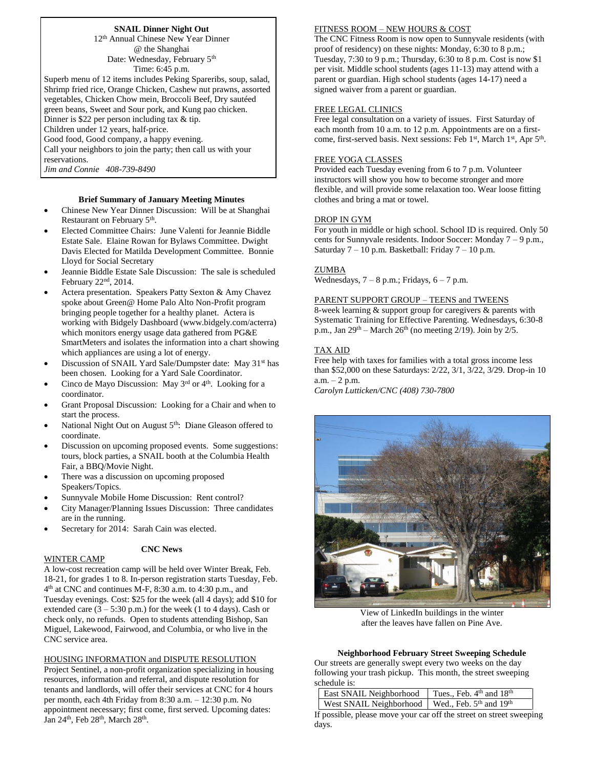## **SNAIL Dinner Night Out**

12th Annual Chinese New Year Dinner @ the Shanghai Date: Wednesday, February 5<sup>th</sup> Time: 6:45 p.m.

Superb menu of 12 items includes Peking Spareribs, soup, salad, Shrimp fried rice, Orange Chicken, Cashew nut prawns, assorted vegetables, Chicken Chow mein, Broccoli Beef, Dry sautéed green beans, Sweet and Sour pork, and Kung pao chicken. Dinner is \$22 per person including tax & tip. Children under 12 years, half-price. Good food, Good company, a happy evening. Call your neighbors to join the party; then call us with your reservations.

*Jim and Connie 408-739-8490*

## **Brief Summary of January Meeting Minutes**

- Chinese New Year Dinner Discussion: Will be at Shanghai Restaurant on February 5<sup>th</sup>.
- Elected Committee Chairs: June Valenti for Jeannie Biddle Estate Sale. Elaine Rowan for Bylaws Committee. Dwight Davis Elected for Matilda Development Committee. Bonnie Lloyd for Social Secretary
- Jeannie Biddle Estate Sale Discussion: The sale is scheduled February 22nd, 2014.
- Actera presentation. Speakers Patty Sexton & Amy Chavez spoke about Green@ Home Palo Alto Non-Profit program bringing people together for a healthy planet. Actera is working with Bidgely Dashboard (www.bidgely.com/acterra) which monitors energy usage data gathered from PG&E SmartMeters and isolates the information into a chart showing which appliances are using a lot of energy.
- Discussion of SNAIL Yard Sale/Dumpster date: May 31<sup>st</sup> has been chosen. Looking for a Yard Sale Coordinator.
- Cinco de Mayo Discussion: May  $3<sup>rd</sup>$  or  $4<sup>th</sup>$ . Looking for a coordinator.
- Grant Proposal Discussion: Looking for a Chair and when to start the process.
- National Night Out on August 5<sup>th</sup>: Diane Gleason offered to coordinate.
- Discussion on upcoming proposed events. Some suggestions: tours, block parties, a SNAIL booth at the Columbia Health Fair, a BBQ/Movie Night.
- There was a discussion on upcoming proposed Speakers/Topics.
- Sunnyvale Mobile Home Discussion: Rent control?
- City Manager/Planning Issues Discussion: Three candidates are in the running.
- Secretary for 2014: Sarah Cain was elected.

## **CNC News**

## WINTER CAMP

A low-cost recreation camp will be held over Winter Break, Feb. 18-21, for grades 1 to 8. In-person registration starts Tuesday, Feb. 4 th at CNC and continues M-F, 8:30 a.m. to 4:30 p.m., and Tuesday evenings. Cost: \$25 for the week (all 4 days); add \$10 for extended care  $(3 - 5:30 \text{ p.m.})$  for the week (1 to 4 days). Cash or check only, no refunds. Open to students attending Bishop, San Miguel, Lakewood, Fairwood, and Columbia, or who live in the CNC service area.

#### HOUSING INFORMATION and DISPUTE RESOLUTION

Project Sentinel, a non-profit organization specializing in housing resources, information and referral, and dispute resolution for tenants and landlords, will offer their services at CNC for 4 hours per month, each 4th Friday from 8:30 a.m. – 12:30 p.m. No appointment necessary; first come, first served. Upcoming dates: Jan 24<sup>th</sup>, Feb 28<sup>th</sup>, March 28<sup>th</sup>.

#### FITNESS ROOM – NEW HOURS & COST

The CNC Fitness Room is now open to Sunnyvale residents (with proof of residency) on these nights: Monday, 6:30 to 8 p.m.; Tuesday, 7:30 to 9 p.m.; Thursday, 6:30 to 8 p.m. Cost is now \$1 per visit. Middle school students (ages 11-13) may attend with a parent or guardian. High school students (ages 14-17) need a signed waiver from a parent or guardian.

#### FREE LEGAL CLINICS

Free legal consultation on a variety of issues. First Saturday of each month from 10 a.m. to 12 p.m. Appointments are on a firstcome, first-served basis. Next sessions: Feb 1<sup>st</sup>, March 1<sup>st</sup>, Apr 5<sup>th</sup>.

## FREE YOGA CLASSES

Provided each Tuesday evening from 6 to 7 p.m. Volunteer instructors will show you how to become stronger and more flexible, and will provide some relaxation too. Wear loose fitting clothes and bring a mat or towel.

#### DROP IN GYM

For youth in middle or high school. School ID is required. Only 50 cents for Sunnyvale residents. Indoor Soccer: Monday 7 – 9 p.m., Saturday 7 – 10 p.m. Basketball: Friday 7 – 10 p.m.

#### ZUMBA

Wednesdays,  $7 - 8$  p.m.; Fridays,  $6 - 7$  p.m.

#### PARENT SUPPORT GROUP – TEENS and TWEENS

8-week learning & support group for caregivers & parents with Systematic Training for Effective Parenting. Wednesdays, 6:30-8 p.m., Jan  $29<sup>th</sup>$  – March  $26<sup>th</sup>$  (no meeting  $2/19$ ). Join by  $2/5$ .

#### TAX AID

Free help with taxes for families with a total gross income less than \$52,000 on these Saturdays: 2/22, 3/1, 3/22, 3/29. Drop-in 10  $a.m. - 2 p.m.$ 

*Carolyn Lutticken/CNC (408) 730-7800*



View of LinkedIn buildings in the winter after the leaves have fallen on Pine Ave.

## **Neighborhood February Street Sweeping Schedule**

Our streets are generally swept every two weeks on the day following your trash pickup. This month, the street sweeping schedule is:

| <b>East SNAIL Neighborhood</b>                    | Tues., Feb. $4th$ and $18th$ |
|---------------------------------------------------|------------------------------|
| West SNAIL Neighborhood   Wed., Feb. 5th and 19th |                              |

If possible, please move your car off the street on street sweeping days.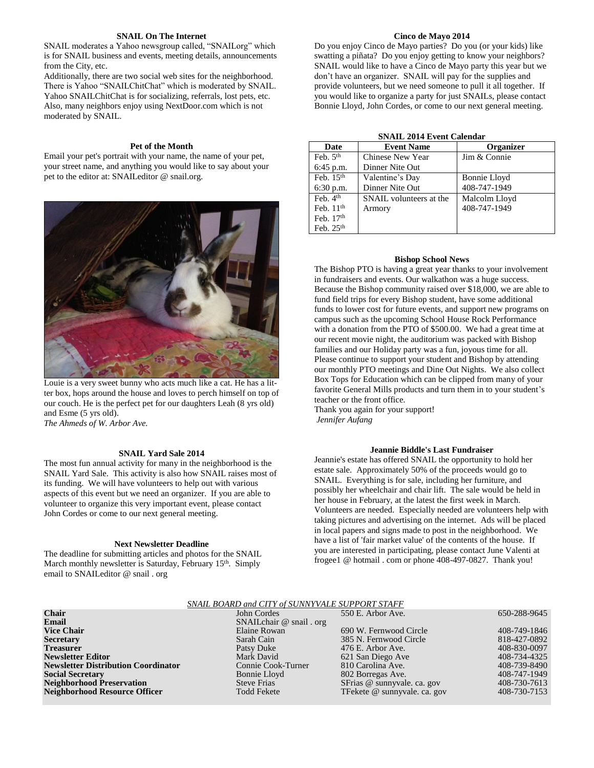#### **SNAIL On The Internet**

SNAIL moderates a Yahoo newsgroup called, "SNAILorg" which is for SNAIL business and events, meeting details, announcements from the City, etc.

Additionally, there are two social web sites for the neighborhood. There is Yahoo "SNAILChitChat" which is moderated by SNAIL. Yahoo SNAILChitChat is for socializing, referrals, lost pets, etc. Also, many neighbors enjoy using NextDoor.com which is not moderated by SNAIL.

#### **Pet of the Month**

Email your pet's portrait with your name, the name of your pet, your street name, and anything you would like to say about your pet to the editor at: SNAILeditor @ snail.org.



Louie is a very sweet bunny who acts much like a cat. He has a litter box, hops around the house and loves to perch himself on top of our couch. He is the perfect pet for our daughters Leah (8 yrs old) and Esme (5 yrs old).

*The Ahmeds of W. Arbor Ave.*

## **SNAIL Yard Sale 2014**

The most fun annual activity for many in the neighborhood is the SNAIL Yard Sale. This activity is also how SNAIL raises most of its funding. We will have volunteers to help out with various aspects of this event but we need an organizer. If you are able to volunteer to organize this very important event, please contact John Cordes or come to our next general meeting.

#### **Next Newsletter Deadline**

The deadline for submitting articles and photos for the SNAIL March monthly newsletter is Saturday, February 15<sup>th</sup>. Simply email to SNAILeditor @ snail . org

## **Cinco de Mayo 2014**

Do you enjoy Cinco de Mayo parties? Do you (or your kids) like swatting a piñata? Do you enjoy getting to know your neighbors? SNAIL would like to have a Cinco de Mayo party this year but we don't have an organizer. SNAIL will pay for the supplies and provide volunteers, but we need someone to pull it all together. If you would like to organize a party for just SNAILs, please contact Bonnie Lloyd, John Cordes, or come to our next general meeting.

|  |  |  | <b>SNAIL 2014 Event Calendar</b> |
|--|--|--|----------------------------------|
|--|--|--|----------------------------------|

| Date                 | <b>Event Name</b>       | <b>Organizer</b> |
|----------------------|-------------------------|------------------|
| Feb. $5th$           | Chinese New Year        | Jim & Connie     |
| $6:45$ p.m.          | Dinner Nite Out         |                  |
| Feb. $15th$          | Valentine's Day         | Bonnie Lloyd     |
| $6:30$ p.m.          | Dinner Nite Out         | 408-747-1949     |
| Feb. 4 <sup>th</sup> | SNAIL volunteers at the | Malcolm Lloyd    |
| Feb. $11th$          | Armory                  | 408-747-1949     |
| Feb. $17th$          |                         |                  |
| Feb. 25th            |                         |                  |

#### **Bishop School News**

The Bishop PTO is having a great year thanks to your involvement in fundraisers and events. Our walkathon was a huge success. Because the Bishop community raised over \$18,000, we are able to fund field trips for every Bishop student, have some additional funds to lower cost for future events, and support new programs on campus such as the upcoming School House Rock Performance with a donation from the PTO of \$500.00. We had a great time at our recent movie night, the auditorium was packed with Bishop families and our Holiday party was a fun, joyous time for all. Please continue to support your student and Bishop by attending our monthly PTO meetings and Dine Out Nights. We also collect Box Tops for Education which can be clipped from many of your favorite General Mills products and turn them in to your student's teacher or the front office.

Thank you again for your support! *Jennifer Aufang*

#### **Jeannie Biddle's Last Fundraiser**

Jeannie's estate has offered SNAIL the opportunity to hold her estate sale. Approximately 50% of the proceeds would go to SNAIL. Everything is for sale, including her furniture, and possibly her wheelchair and chair lift. The sale would be held in her house in February, at the latest the first week in March. Volunteers are needed. Especially needed are volunteers help with taking pictures and advertising on the internet. Ads will be placed in local papers and signs made to post in the neighborhood. We have a list of 'fair market value' of the contents of the house. If you are interested in participating, please contact June Valenti at frogee1 @ hotmail . com or phone 408-497-0827. Thank you!

| SNAIL BOARD and CITY of SUNNYVALE SUPPORT STAFF |                          |                              |              |  |  |  |
|-------------------------------------------------|--------------------------|------------------------------|--------------|--|--|--|
| <b>Chair</b>                                    | John Cordes              | 550 E. Arbor Ave.            | 650-288-9645 |  |  |  |
| Email                                           | SNAILchair @ snail . org |                              |              |  |  |  |
| <b>Vice Chair</b>                               | Elaine Rowan             | 690 W. Fernwood Circle       | 408-749-1846 |  |  |  |
| Secretary                                       | Sarah Cain               | 385 N. Fernwood Circle       | 818-427-0892 |  |  |  |
| Treasurer                                       | Patsy Duke               | 476 E. Arbor Ave.            | 408-830-0097 |  |  |  |
| <b>Newsletter Editor</b>                        | Mark David               | 621 San Diego Ave            | 408-734-4325 |  |  |  |
| <b>Newsletter Distribution Coordinator</b>      | Connie Cook-Turner       | 810 Carolina Ave.            | 408-739-8490 |  |  |  |
| <b>Social Secretary</b>                         | Bonnie Lloyd             | 802 Borregas Ave.            | 408-747-1949 |  |  |  |
| <b>Neighborhood Preservation</b>                | <b>Steve Frias</b>       | SFrias @ sunnyvale. ca. gov  | 408-730-7613 |  |  |  |
| Neighborhood Resource Officer                   | <b>Todd Fekete</b>       | TFekete @ sunnyvale. ca. gov | 408-730-7153 |  |  |  |